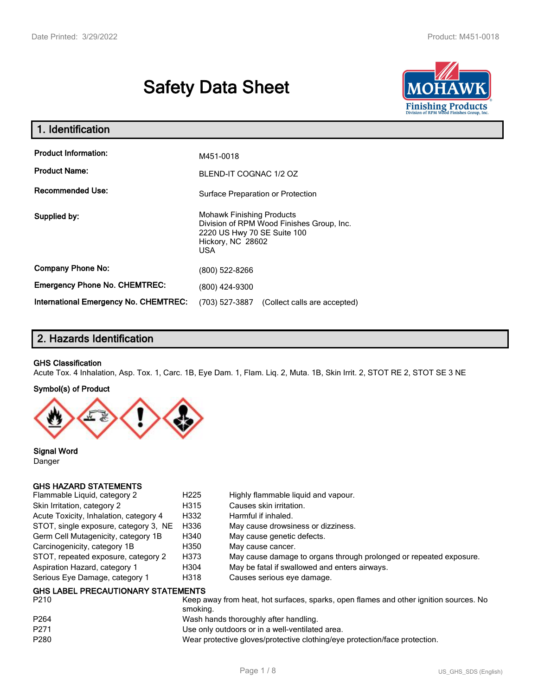# **Safety Data Sheet**



| 1. Identification                                   |                                                                                                                                          |
|-----------------------------------------------------|------------------------------------------------------------------------------------------------------------------------------------------|
| <b>Product Information:</b><br><b>Product Name:</b> | M451-0018<br>BLEND-IT COGNAC 1/2 OZ                                                                                                      |
| <b>Recommended Use:</b>                             | Surface Preparation or Protection                                                                                                        |
| Supplied by:                                        | <b>Mohawk Finishing Products</b><br>Division of RPM Wood Finishes Group, Inc.<br>2220 US Hwy 70 SE Suite 100<br>Hickory, NC 28602<br>USA |
| <b>Company Phone No:</b>                            | (800) 522-8266                                                                                                                           |
| <b>Emergency Phone No. CHEMTREC:</b>                | (800) 424-9300                                                                                                                           |
| <b>International Emergency No. CHEMTREC:</b>        | (703) 527-3887<br>(Collect calls are accepted)                                                                                           |

## **2. Hazards Identification**

#### **GHS Classification**

Acute Tox. 4 Inhalation, Asp. Tox. 1, Carc. 1B, Eye Dam. 1, Flam. Liq. 2, Muta. 1B, Skin Irrit. 2, STOT RE 2, STOT SE 3 NE

#### **Symbol(s) of Product**



**Signal Word** Danger

#### **GHS HAZARD STATEMENTS**

| Flammable Liquid, category 2              | H <sub>225</sub> | Highly flammable liquid and vapour.                                |
|-------------------------------------------|------------------|--------------------------------------------------------------------|
| Skin Irritation, category 2               | H315             | Causes skin irritation.                                            |
| Acute Toxicity, Inhalation, category 4    | H332             | Harmful if inhaled.                                                |
| STOT, single exposure, category 3, NE     | H336             | May cause drowsiness or dizziness.                                 |
| Germ Cell Mutagenicity, category 1B       | H340             | May cause genetic defects.                                         |
| Carcinogenicity, category 1B              | H350             | May cause cancer.                                                  |
| STOT, repeated exposure, category 2       | H373             | May cause damage to organs through prolonged or repeated exposure. |
| Aspiration Hazard, category 1             | H304             | May be fatal if swallowed and enters airways.                      |
| Serious Eye Damage, category 1            | H318             | Causes serious eye damage.                                         |
| <b>GHS LABEL PRECAUTIONARY STATEMENTS</b> |                  |                                                                    |

| P <sub>210</sub> | Keep away from heat, hot surfaces, sparks, open flames and other ignition sources. No<br>smoking. |
|------------------|---------------------------------------------------------------------------------------------------|
| P <sub>264</sub> | Wash hands thoroughly after handling.                                                             |
| P271             | Use only outdoors or in a well-ventilated area.                                                   |
| P <sub>280</sub> | Wear protective gloves/protective clothing/eye protection/face protection.                        |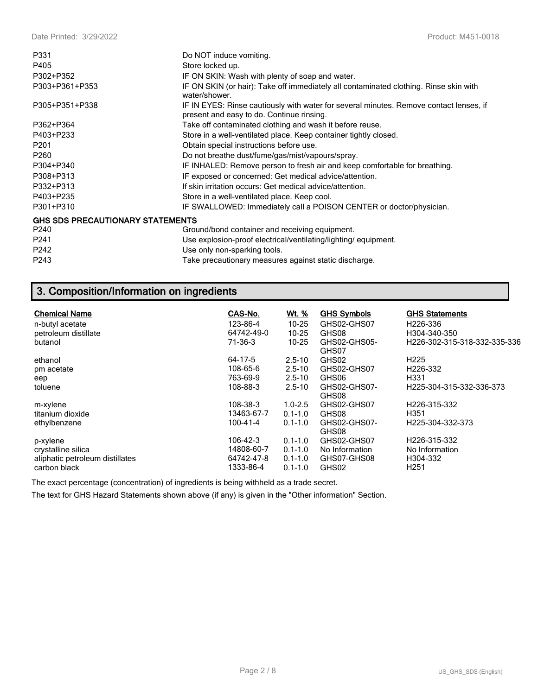| P331                                    | Do NOT induce vomiting.                                                                                                             |
|-----------------------------------------|-------------------------------------------------------------------------------------------------------------------------------------|
| P405                                    | Store locked up.                                                                                                                    |
| P302+P352                               | IF ON SKIN: Wash with plenty of soap and water.                                                                                     |
| P303+P361+P353                          | IF ON SKIN (or hair): Take off immediately all contaminated clothing. Rinse skin with<br>water/shower.                              |
| P305+P351+P338                          | IF IN EYES: Rinse cautiously with water for several minutes. Remove contact lenses, if<br>present and easy to do. Continue rinsing. |
| P362+P364                               | Take off contaminated clothing and wash it before reuse.                                                                            |
| P403+P233                               | Store in a well-ventilated place. Keep container tightly closed.                                                                    |
| P <sub>201</sub>                        | Obtain special instructions before use.                                                                                             |
| P <sub>260</sub>                        | Do not breathe dust/fume/gas/mist/vapours/spray.                                                                                    |
| P304+P340                               | IF INHALED: Remove person to fresh air and keep comfortable for breathing.                                                          |
| P308+P313                               | IF exposed or concerned: Get medical advice/attention.                                                                              |
| P332+P313                               | If skin irritation occurs: Get medical advice/attention.                                                                            |
| P403+P235                               | Store in a well-ventilated place. Keep cool.                                                                                        |
| P301+P310                               | IF SWALLOWED: Immediately call a POISON CENTER or doctor/physician.                                                                 |
| <b>GHS SDS PRECAUTIONARY STATEMENTS</b> |                                                                                                                                     |
| P <sub>240</sub>                        | Ground/bond container and receiving equipment.                                                                                      |
| P <sub>241</sub>                        | Use explosion-proof electrical/ventilating/lighting/equipment.                                                                      |
| P242                                    | Use only non-sparking tools.                                                                                                        |
| P243                                    | Take precautionary measures against static discharge.                                                                               |

## **3. Composition/Information on ingredients**

| <b>Chemical Name</b>                            | CAS-No.                  | <u>Wt. %</u>               | <b>GHS Symbols</b>            | <b>GHS Statements</b>        |
|-------------------------------------------------|--------------------------|----------------------------|-------------------------------|------------------------------|
| n-butyl acetate                                 | 123-86-4                 | $10 - 25$                  | GHS02-GHS07                   | H <sub>226</sub> -336        |
| petroleum distillate                            | 64742-49-0               | $10 - 25$                  | GHS08                         | H304-340-350                 |
| butanol                                         | $71-36-3$                | $10 - 25$                  | GHS02-GHS05-<br>GHS07         | H226-302-315-318-332-335-336 |
| ethanol                                         | 64-17-5                  | $2.5 - 10$                 | GHS02                         | H <sub>225</sub>             |
| pm acetate                                      | 108-65-6                 | $2.5 - 10$                 | GHS02-GHS07                   | H226-332                     |
| eep                                             | 763-69-9                 | $2.5 - 10$                 | GHS06                         | H331                         |
| toluene                                         | 108-88-3                 | $2.5 - 10$                 | GHS02-GHS07-<br>GHS08         | H225-304-315-332-336-373     |
| m-xylene                                        | 108-38-3                 | $1.0 - 2.5$                | GHS02-GHS07                   | H226-315-332                 |
| titanium dioxide                                | 13463-67-7               | $0.1 - 1.0$                | GHS08                         | H351                         |
| ethylbenzene                                    | 100-41-4                 | $0.1 - 1.0$                | GHS02-GHS07-<br>GHS08         | H225-304-332-373             |
| p-xylene                                        | 106-42-3                 | $0.1 - 1.0$                | GHS02-GHS07                   | H226-315-332                 |
| crystalline silica                              | 14808-60-7<br>64742-47-8 | $0.1 - 1.0$<br>$0.1 - 1.0$ | No Information<br>GHS07-GHS08 | No Information<br>H304-332   |
| aliphatic petroleum distillates<br>carbon black | 1333-86-4                | $0.1 - 1.0$                | GHS02                         | H <sub>251</sub>             |

The exact percentage (concentration) of ingredients is being withheld as a trade secret.

The text for GHS Hazard Statements shown above (if any) is given in the "Other information" Section.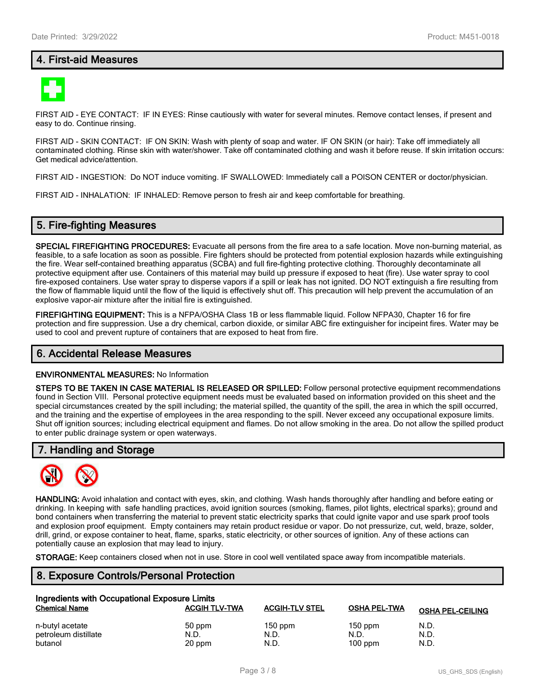## **4. First-aid Measures**



FIRST AID - EYE CONTACT: IF IN EYES: Rinse cautiously with water for several minutes. Remove contact lenses, if present and easy to do. Continue rinsing.

FIRST AID - SKIN CONTACT: IF ON SKIN: Wash with plenty of soap and water. IF ON SKIN (or hair): Take off immediately all contaminated clothing. Rinse skin with water/shower. Take off contaminated clothing and wash it before reuse. If skin irritation occurs: Get medical advice/attention.

FIRST AID - INGESTION: Do NOT induce vomiting. IF SWALLOWED: Immediately call a POISON CENTER or doctor/physician.

FIRST AID - INHALATION: IF INHALED: Remove person to fresh air and keep comfortable for breathing.

## **5. Fire-fighting Measures**

**SPECIAL FIREFIGHTING PROCEDURES:** Evacuate all persons from the fire area to a safe location. Move non-burning material, as feasible, to a safe location as soon as possible. Fire fighters should be protected from potential explosion hazards while extinguishing the fire. Wear self-contained breathing apparatus (SCBA) and full fire-fighting protective clothing. Thoroughly decontaminate all protective equipment after use. Containers of this material may build up pressure if exposed to heat (fire). Use water spray to cool fire-exposed containers. Use water spray to disperse vapors if a spill or leak has not ignited. DO NOT extinguish a fire resulting from the flow of flammable liquid until the flow of the liquid is effectively shut off. This precaution will help prevent the accumulation of an explosive vapor-air mixture after the initial fire is extinguished.

**FIREFIGHTING EQUIPMENT:** This is a NFPA/OSHA Class 1B or less flammable liquid. Follow NFPA30, Chapter 16 for fire protection and fire suppression. Use a dry chemical, carbon dioxide, or similar ABC fire extinguisher for incipeint fires. Water may be used to cool and prevent rupture of containers that are exposed to heat from fire.

#### **6. Accidental Release Measures**

#### **ENVIRONMENTAL MEASURES:** No Information

**STEPS TO BE TAKEN IN CASE MATERIAL IS RELEASED OR SPILLED:** Follow personal protective equipment recommendations found in Section VIII. Personal protective equipment needs must be evaluated based on information provided on this sheet and the special circumstances created by the spill including; the material spilled, the quantity of the spill, the area in which the spill occurred, and the training and the expertise of employees in the area responding to the spill. Never exceed any occupational exposure limits. Shut off ignition sources; including electrical equipment and flames. Do not allow smoking in the area. Do not allow the spilled product to enter public drainage system or open waterways.

#### **7. Handling and Storage**



**HANDLING:** Avoid inhalation and contact with eyes, skin, and clothing. Wash hands thoroughly after handling and before eating or drinking. In keeping with safe handling practices, avoid ignition sources (smoking, flames, pilot lights, electrical sparks); ground and bond containers when transferring the material to prevent static electricity sparks that could ignite vapor and use spark proof tools and explosion proof equipment. Empty containers may retain product residue or vapor. Do not pressurize, cut, weld, braze, solder, drill, grind, or expose container to heat, flame, sparks, static electricity, or other sources of ignition. Any of these actions can potentially cause an explosion that may lead to injury.

**STORAGE:** Keep containers closed when not in use. Store in cool well ventilated space away from incompatible materials.

## **8. Exposure Controls/Personal Protection**

| Ingredients with Occupational Exposure Limits |                      |                       |                     |                         |  |  |
|-----------------------------------------------|----------------------|-----------------------|---------------------|-------------------------|--|--|
| <b>Chemical Name</b>                          | <b>ACGIH TLV-TWA</b> | <b>ACGIH-TLV STEL</b> | <b>OSHA PEL-TWA</b> | <b>OSHA PEL-CEILING</b> |  |  |
| n-butyl acetate                               | 50 ppm               | $150$ ppm             | $150$ ppm           | N.D.                    |  |  |
| petroleum distillate                          | N.D.                 | N.D.                  | N.D.                | N.D.                    |  |  |
| butanol                                       | 20 ppm               | N.D.                  | $100$ ppm           | N.D.                    |  |  |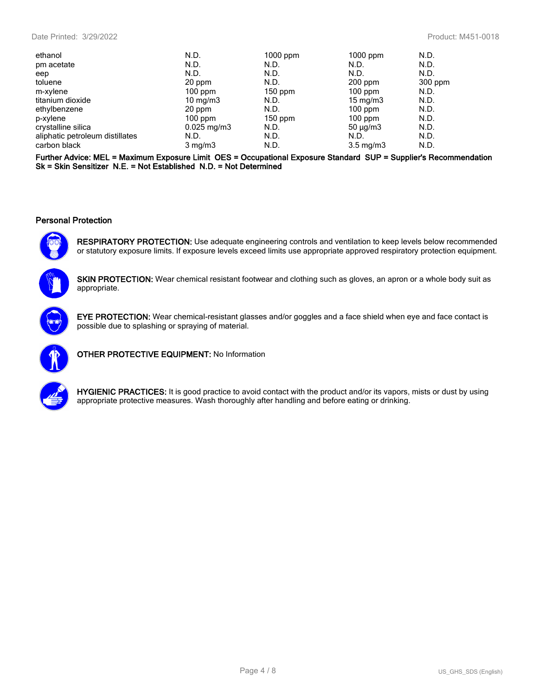#### Date Printed: 3/29/2022 Product: M451-0018

| ethanol                         | N.D.                   | $1000$ ppm | $1000$ ppm         | N.D.    |
|---------------------------------|------------------------|------------|--------------------|---------|
| pm acetate                      | N.D.                   | N.D.       | N.D.               | N.D.    |
| eep                             | N.D.                   | N.D.       | N.D.               | N.D.    |
| toluene                         | 20 ppm                 | N.D.       | $200$ ppm          | 300 ppm |
| m-xylene                        | $100$ ppm              | $150$ ppm  | $100$ ppm          | N.D.    |
| titanium dioxide                | 10 mg/m $3$            | N.D.       | 15 mg/m $3$        | N.D.    |
| ethylbenzene                    | 20 ppm                 | N.D.       | $100$ ppm          | N.D.    |
| p-xylene                        | $100$ ppm              | $150$ ppm  | $100$ ppm          | N.D.    |
| crystalline silica              | $0.025 \text{ mg/m}$ 3 | N.D.       | $50 \mu q/m3$      | N.D.    |
| aliphatic petroleum distillates | N.D.                   | N.D.       | N.D.               | N.D.    |
| carbon black                    | $3 \text{ mg/m}$       | N.D.       | $3.5 \text{ mg/m}$ | N.D.    |
|                                 |                        |            |                    |         |

**Further Advice: MEL = Maximum Exposure Limit OES = Occupational Exposure Standard SUP = Supplier's Recommendation Sk = Skin Sensitizer N.E. = Not Established N.D. = Not Determined**

#### **Personal Protection**



**RESPIRATORY PROTECTION:** Use adequate engineering controls and ventilation to keep levels below recommended or statutory exposure limits. If exposure levels exceed limits use appropriate approved respiratory protection equipment.

**SKIN PROTECTION:** Wear chemical resistant footwear and clothing such as gloves, an apron or a whole body suit as appropriate.



**EYE PROTECTION:** Wear chemical-resistant glasses and/or goggles and a face shield when eye and face contact is possible due to splashing or spraying of material.



**OTHER PROTECTIVE EQUIPMENT:** No Information



**HYGIENIC PRACTICES:** It is good practice to avoid contact with the product and/or its vapors, mists or dust by using appropriate protective measures. Wash thoroughly after handling and before eating or drinking.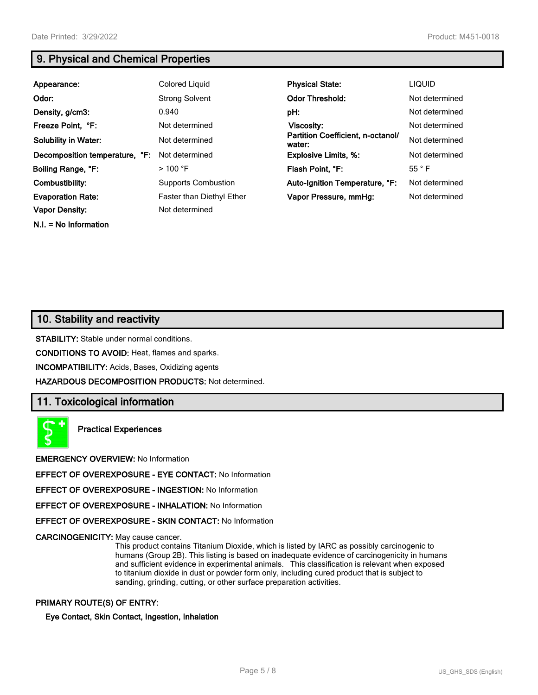**N.I. = No Information**

## **9. Physical and Chemical Properties**

| Appearance:                    | Colored Liquid                   | <b>Physical State:</b>                      | <b>LIQUID</b>  |
|--------------------------------|----------------------------------|---------------------------------------------|----------------|
| Odor:                          | <b>Strong Solvent</b>            | <b>Odor Threshold:</b>                      | Not determined |
| Density, g/cm3:                | 0.940                            | pH:                                         | Not determined |
| Freeze Point, °F:              | Not determined                   | Viscosity:                                  | Not determined |
| <b>Solubility in Water:</b>    | Not determined                   | Partition Coefficient, n-octanol/<br>water: | Not determined |
| Decomposition temperature, °F: | Not determined                   | <b>Explosive Limits, %:</b>                 | Not determined |
| Boiling Range, °F:             | $>$ 100 °F                       | Flash Point, °F:                            | $55^{\circ}$ F |
| Combustibility:                | <b>Supports Combustion</b>       | Auto-Ignition Temperature, °F:              | Not determined |
| <b>Evaporation Rate:</b>       | <b>Faster than Diethyl Ether</b> | Vapor Pressure, mmHg:                       | Not determined |
| <b>Vapor Density:</b>          | Not determined                   |                                             |                |

## **10. Stability and reactivity**

**STABILITY:** Stable under normal conditions.

**CONDITIONS TO AVOID:** Heat, flames and sparks.

**INCOMPATIBILITY:** Acids, Bases, Oxidizing agents

**HAZARDOUS DECOMPOSITION PRODUCTS:** Not determined.

## **11. Toxicological information**



**Practical Experiences**

**EMERGENCY OVERVIEW:** No Information

**EFFECT OF OVEREXPOSURE - EYE CONTACT:** No Information

**EFFECT OF OVEREXPOSURE - INGESTION:** No Information

**EFFECT OF OVEREXPOSURE - INHALATION:** No Information

**EFFECT OF OVEREXPOSURE - SKIN CONTACT:** No Information

**CARCINOGENICITY:** May cause cancer.

This product contains Titanium Dioxide, which is listed by IARC as possibly carcinogenic to humans (Group 2B). This listing is based on inadequate evidence of carcinogenicity in humans and sufficient evidence in experimental animals. This classification is relevant when exposed to titanium dioxide in dust or powder form only, including cured product that is subject to sanding, grinding, cutting, or other surface preparation activities.

#### **PRIMARY ROUTE(S) OF ENTRY:**

#### **Eye Contact, Skin Contact, Ingestion, Inhalation**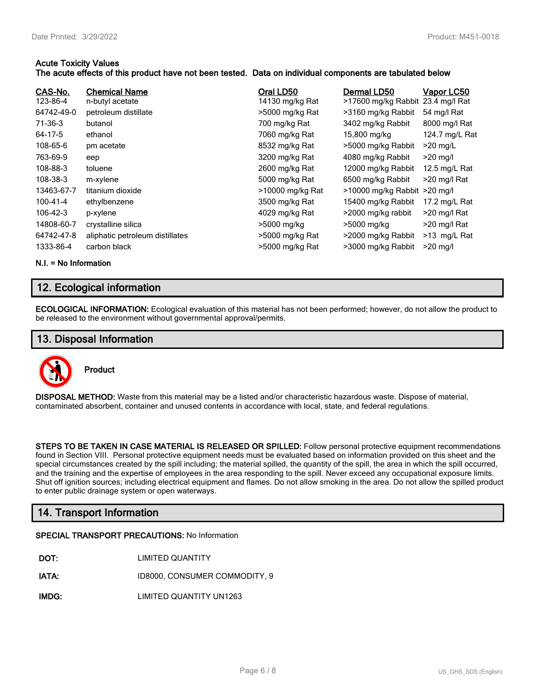#### **Acute Toxicity Values**

#### **The acute effects of this product have not been tested. Data on individual components are tabulated below**

| CAS-No.<br>123-86-4<br>64742-49-0<br>71-36-3<br>64-17-5<br>108-65-6<br>763-69-9<br>108-88-3<br>108-38-3<br>13463-67-7<br>100-41-4<br>106-42-3<br>14808-60-7<br>64742-47-8 | <b>Chemical Name</b><br>n-butyl acetate<br>petroleum distillate<br>butanol<br>ethanol<br>pm acetate<br>eep<br>toluene<br>m-xylene<br>titanium dioxide<br>ethylbenzene<br>p-xylene<br>crystalline silica<br>aliphatic petroleum distillates | Oral LD50<br>14130 mg/kg Rat<br>>5000 mg/kg Rat<br>700 mg/kg Rat<br>7060 mg/kg Rat<br>8532 mg/kg Rat<br>3200 mg/kg Rat<br>2600 mg/kg Rat<br>5000 mg/kg Rat<br>>10000 mg/kg Rat<br>3500 mg/kg Rat<br>4029 mg/kg Rat<br>>5000 mg/kg<br>>5000 mg/kg Rat | Dermal LD50<br>>17600 mg/kg Rabbit<br>>3160 mg/kg Rabbit<br>3402 mg/kg Rabbit<br>15,800 mg/kg<br>>5000 mg/kg Rabbit<br>4080 mg/kg Rabbit<br>12000 mg/kg Rabbit<br>6500 mg/kg Rabbit<br>>10000 mg/kg Rabbit >20 mg/l<br>15400 mg/kg Rabbit<br>>2000 mg/kg rabbit<br>>5000 mg/kg<br>>2000 mg/kg Rabbit | Vapor LC50<br>23.4 mg/l Rat<br>54 mg/l Rat<br>8000 mg/l Rat<br>124.7 mg/L Rat<br>$>20$ mg/L<br>$>20$ mg/l<br>12.5 mg/L Rat<br>>20 mg/l Rat<br>17.2 mg/L Rat<br>>20 mg/l Rat<br>$>$ 20 mg/l Rat<br>$>13$ mg/L Rat |
|---------------------------------------------------------------------------------------------------------------------------------------------------------------------------|--------------------------------------------------------------------------------------------------------------------------------------------------------------------------------------------------------------------------------------------|------------------------------------------------------------------------------------------------------------------------------------------------------------------------------------------------------------------------------------------------------|------------------------------------------------------------------------------------------------------------------------------------------------------------------------------------------------------------------------------------------------------------------------------------------------------|------------------------------------------------------------------------------------------------------------------------------------------------------------------------------------------------------------------|
| 1333-86-4                                                                                                                                                                 | carbon black                                                                                                                                                                                                                               | >5000 mg/kg Rat                                                                                                                                                                                                                                      | >3000 mg/kg Rabbit                                                                                                                                                                                                                                                                                   | $>20$ mg/l                                                                                                                                                                                                       |
|                                                                                                                                                                           |                                                                                                                                                                                                                                            |                                                                                                                                                                                                                                                      |                                                                                                                                                                                                                                                                                                      |                                                                                                                                                                                                                  |

**N.I. = No Information**

## **12. Ecological information**

**ECOLOGICAL INFORMATION:** Ecological evaluation of this material has not been performed; however, do not allow the product to be released to the environment without governmental approval/permits.

### **13. Disposal Information**



**Product**

**DISPOSAL METHOD:** Waste from this material may be a listed and/or characteristic hazardous waste. Dispose of material, contaminated absorbent, container and unused contents in accordance with local, state, and federal regulations.

**STEPS TO BE TAKEN IN CASE MATERIAL IS RELEASED OR SPILLED:** Follow personal protective equipment recommendations found in Section VIII. Personal protective equipment needs must be evaluated based on information provided on this sheet and the special circumstances created by the spill including; the material spilled, the quantity of the spill, the area in which the spill occurred, and the training and the expertise of employees in the area responding to the spill. Never exceed any occupational exposure limits. Shut off ignition sources; including electrical equipment and flames. Do not allow smoking in the area. Do not allow the spilled product to enter public drainage system or open waterways.

## **14. Transport Information**

#### **SPECIAL TRANSPORT PRECAUTIONS:** No Information

| DOT: | <b>LIMITED QUANTITY</b> |
|------|-------------------------|
|      |                         |

**IATA:** ID8000, CONSUMER COMMODITY, 9

**IMDG:** LIMITED QUANTITY UN1263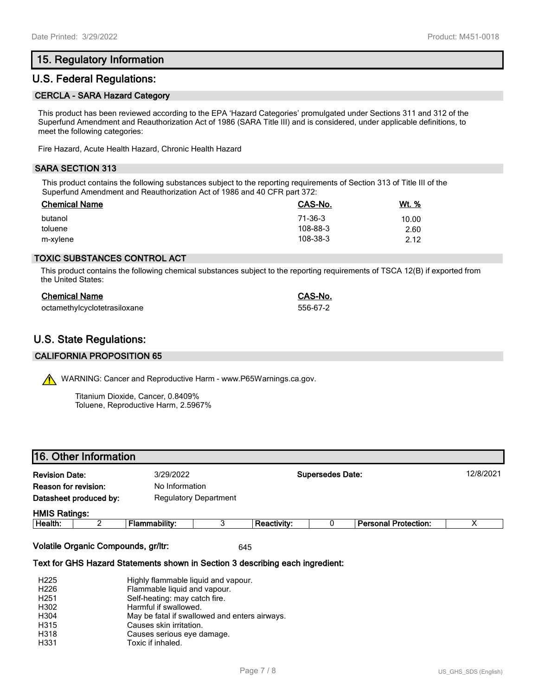## **15. Regulatory Information**

## **U.S. Federal Regulations:**

#### **CERCLA - SARA Hazard Category**

This product has been reviewed according to the EPA 'Hazard Categories' promulgated under Sections 311 and 312 of the Superfund Amendment and Reauthorization Act of 1986 (SARA Title III) and is considered, under applicable definitions, to meet the following categories:

Fire Hazard, Acute Health Hazard, Chronic Health Hazard

#### **SARA SECTION 313**

This product contains the following substances subject to the reporting requirements of Section 313 of Title III of the Superfund Amendment and Reauthorization Act of 1986 and 40 CFR part 372:

| <b>Chemical Name</b> | CAS-No.  | <u>Wt. %</u> |
|----------------------|----------|--------------|
| butanol              | 71-36-3  | 10.00        |
| toluene              | 108-88-3 | 2.60         |
| m-xylene             | 108-38-3 | 2.12         |

#### **TOXIC SUBSTANCES CONTROL ACT**

This product contains the following chemical substances subject to the reporting requirements of TSCA 12(B) if exported from the United States:

| <b>Chemical Name</b>         | CAS-No.  |
|------------------------------|----------|
| octamethylcyclotetrasiloxane | 556-67-2 |

## **U.S. State Regulations:**

#### **CALIFORNIA PROPOSITION 65**

WARNING: Cancer and Reproductive Harm - www.P65Warnings.ca.gov.

Titanium Dioxide, Cancer, 0.8409% Toluene, Reproductive Harm, 2.5967%

| <b>Revision Date:</b>  |  | 3/29/2022                    |   | <b>Supersedes Date:</b> |  |                             | 12/8/2021 |
|------------------------|--|------------------------------|---|-------------------------|--|-----------------------------|-----------|
| Reason for revision:   |  | No Information               |   |                         |  |                             |           |
| Datasheet produced by: |  | <b>Regulatory Department</b> |   |                         |  |                             |           |
| <b>HMIS Ratings:</b>   |  |                              |   |                         |  |                             |           |
| Health:                |  | Flammability:                | 3 | Reactivity:             |  | <b>Personal Protection:</b> | Χ         |

#### **Text for GHS Hazard Statements shown in Section 3 describing each ingredient:**

| H <sub>225</sub> | Highly flammable liquid and vapour.           |
|------------------|-----------------------------------------------|
| H <sub>226</sub> | Flammable liquid and vapour.                  |
| H <sub>251</sub> | Self-heating: may catch fire.                 |
| H302             | Harmful if swallowed.                         |
| H304             | May be fatal if swallowed and enters airways. |
| H315             | Causes skin irritation.                       |
| H318             | Causes serious eye damage.                    |
| H331             | Toxic if inhaled.                             |
|                  |                                               |